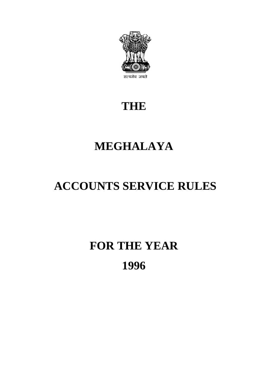

# **THE**

# **MEGHALAYA**

# **ACCOUNTS SERVICE RULES**

# **FOR THE YEAR 1996**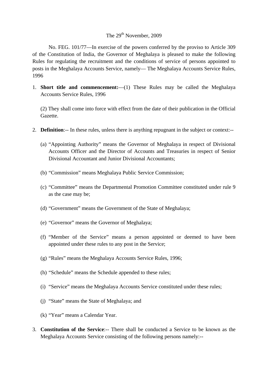### The 29<sup>th</sup> November, 2009

1996 No. FEG. 101/77—In exercise of the powers conferred by the proviso to Article 309 of the Constitution of India, the Governor of Meghalaya is pleased to make the following Rules for regulating the recruitment and the conditions of service of persons appointed to posts in the Meghalaya Accounts Service, namely— The Meghalaya Accounts Service Rules,

1. **Short title and commencement:**—(1) These Rules may be called the Meghalaya Accounts Service Rules, 1996

(2) They shall come into force with effect from the date of their publication in the Official Gazette.

- 2. **Definition**:-- In these rules, unless there is anything repugnant in the subject or context:--
	- (a) "Appointing Authority" means the Governor of Meghalaya in respect of Divisional Accounts Officer and the Director of Accounts and Treasuries in respect of Senior Divisional Accountant and Junior Divisional Accountants;
	- (b) "Commission" means Meghalaya Public Service Commission;
	- (c) "Committee" means the Departmental Promotion Committee constituted under rule 9 as the case may be;
	- (d) "Government" means the Government of the State of Meghalaya;
	- (e) "Governor" means the Governor of Meghalaya;
	- (f) "Member of the Service" means a person appointed or deemed to have been appointed under these rules to any post in the Service;
	- (g) "Rules" means the Meghalaya Accounts Service Rules, 1996;
	- (h) "Schedule" means the Schedule appended to these rules;
	- (i) "Service" means the Meghalaya Accounts Service constituted under these rules;
	- (j) "State" means the State of Meghalaya; and
	- (k) "Year" means a Calendar Year.
- 3. **Constitution of the Service**:-- There shall be conducted a Service to be known as the Meghalaya Accounts Service consisting of the following persons namely:-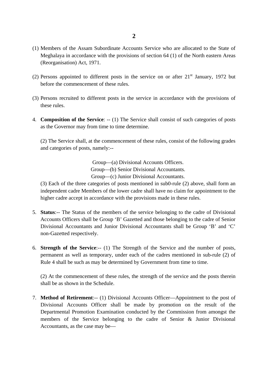- (1) Members of the Assam Subordinate Accounts Service who are allocated to the State of Meghalaya in accordance with the provisions of section 64 (1) of the North eastern Areas (Reorganisation) Act, 1971.
- (2) Persons appointed to different posts in the service on or after  $21<sup>st</sup>$  January, 1972 but before the commencement of these rules.
- (3) Persons recruited to different posts in the service in accordance with the provisions of these rules.
- 4. **Composition of the Service**: -- (1) The Service shall consist of such categories of posts as the Governor may from time to time determine.

 (2) The Service shall, at the commencement of these rules, consist of the following grades and categories of posts, namely:-

> Group—(a) Divisional Accounts Officers. Group—(b) Senior Divisional Accountants. Group—(c) Junior Divisional Accountants.

(3) Each of the three categories of posts mentioned in sub0-rule (2) above, shall form an independent cadre Members of the lower cadre shall have no claim for appointment to the higher cadre accept in accordance with the provisions made in these rules.

- 5. **Status**:-- The Status of the members of the service belonging to the cadre of Divisional Accounts Officers shall be Group 'B' Gazetted and those belonging to the cadre of Senior Divisional Accountants and Junior Divisional Accountants shall be Group 'B' and 'C' non-Gazetted respectively.
- permanent as well as temporary, under each of the cadres mentioned in sub-rule (2) of Rule 4 shall be such as may be determined by Government from time to time. 6. **Strength of the Service**:-- (1) The Strength of the Service and the number of posts,

 (2) At the commencement of these rules, the strength of the service and the posts therein shall be as shown in the Schedule.

7. **Method of Retirement**:-- (1) Divisional Accounts Officer—Appointment to the post of Divisional Accounts Officer shall be made by promotion on the result of the Departmental Promotion Examination conducted by the Commission from amongst the members of the Service belonging to the cadre of Senior & Junior Divisional Accountants, as the case may be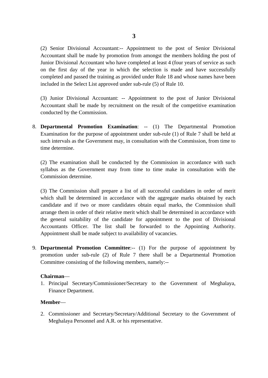(2) Senior Divisional Accountant:-- Appointment to the post of Senior Divisional Accountant shall be made by promotion from amongst the members holding the post of Junior Divisional Accountant who have completed at least 4 (four years of service as such on the first day of the year in which the selection is made and have successfully completed and passed the training as provided under Rule 18 and whose names have been included in the Select List approved under sub-rule (5) of Rule 10.

(3) Junior Divisional Accountant: -- Appointment to the post of Junior Divisional Accountant shall be made by recruitment on the result of the competitive examination conducted by the Commission.

8. **Departmental Promotion Examination**: -- (1) The Departmental Promotion Examination for the purpose of appointment under sub-rule (1) of Rule 7 shall be held at such intervals as the Government may, in consultation with the Commission, from time to time determine.

(2) The examination shall be conducted by the Commission in accordance with such syllabus as the Government may from time to time make in consultation with the Commission determine.

 which shall be determined in accordance with the aggregate marks obtained by each candidate and if two or more candidates obtain equal marks, the Commission shall (3) The Commission shall prepare a list of all successful candidates in order of merit arrange them in order of their relative merit which shall be determined in accordance with the general suitability of the candidate for appointment to the post of Divisional Accountants Officer. The list shall be forwarded to the Appointing Authority. Appointment shall be made subject to availability of vacancies.

9. **Departmental Promotion Committee**:-- (1) For the purpose of appointment by promotion under sub-rule (2) of Rule 7 there shall be a Departmental Promotion Committee consisting of the following members, namely:-

#### **Chairman**—

1. Principal Secretary/Commissioner/Secretary to the Government of Meghalaya, Finance Department.

#### **Member**—

2. Commissioner and Secretary/Secretary/Additional Secretary to the Government of Meghalaya Personnel and A.R. or his representative.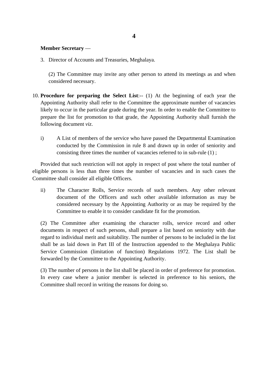### **Member Secretary** —

3. Director of Accounts and Treasuries, Meghalaya.

(2) The Committee may invite any other person to attend its meetings as and when considered necessary.

- 10. **Procedure for preparing the Select List**:-- (1) At the beginning of each year the likely to occur in the particular grade during the year. In order to enable the Committee to following document *viz*. Appointing Authority shall refer to the Committee the approximate number of vacancies prepare the list for promotion to that grade, the Appointing Authority shall furnish the
	- i) A List of members of the service who have passed the Departmental Examination conducted by the Commission in rule 8 and drawn up in order of seniority and consisting three times the number of vacancies referred to in sub-rule (1) ;

Provided that such restriction will not apply in respect of post where the total number of eligible persons is less than three times the number of vacancies and in such cases the Committee shall consider all eligible Officers.

ii) The Character Rolls, Service records of such members. Any other relevant document of the Officers and such other available information as may be considered necessary by the Appointing Authority or as may be required by the Committee to enable it to consider candidate fit for the promotion.

 (2) The Committee after examining the character rolls, service record and other shall be as laid down in Part III of the Instruction appended to the Meghalaya Public documents in respect of such persons, shall prepare a list based on seniority with due regard to individual merit and suitability. The number of persons to be included in the list Service Commission (limitation of function) Regulations 1972. The List shall be forwarded by the Committee to the Appointing Authority.

 Committee shall record in writing the reasons for doing so. (3) The number of persons in the list shall be placed in order of preference for promotion. In every case where a junior member is selected in preference to his seniors, the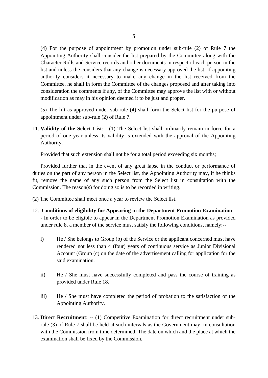list and unless the considers that any change is necessary approved the list. If appointing consideration the comments if any, of the Committee may approve the list with or without modification as may in his opinion deemed it to be just and proper. (4) For the purpose of appointment by promotion under sub-rule (2) of Rule 7 the Appointing Authority shall consider the list prepared by the Committee along with the Character Rolls and Service records and other documents in respect of each person in the authority considers it necessary to make any change in the list received from the Committee, he shall in form the Committee of the changes proposed and after taking into

(5) The lift as approved under sub-rule (4) shall form the Select list for the purpose of appointment under sub-rule (2) of Rule 7.

 11. **Validity of the Select List**:-- (1) The Select list shall ordinarily remain in force for a period of one year unless its validity is extended with the approval of the Appointing Authority.

Provided that such extension shall not be for a total period exceeding six months;

 Provided further that in the event of any great lapse in the conduct or performance of duties on the part of any person in the Select list, the Appointing Authority may, if he thinks fit, remove the name of any such person from the Select list in consultation with the Commission. The reason(s) for doing so is to be recorded in writing.

- (2) The Committee shall meet once a year to review the Select list.
- 12. Conditions of eligibility for Appearing in the Department Promotion Examination:-- In order to be eligible to appear in the Department Promotion Examination as provided under rule 8, a member of the service must satisfy the following conditions, namely:-
	- rendered not less than 4 (four) years of continuous service as Junior Divisional i) He / She belongs to Group (b) of the Service or the applicant concerned must have Account (Group (c) on the date of the advertisement calling for application for the said examination.
	- ii) He / She must have successfully completed and pass the course of training as provided under Rule 18.
	- iii) He / She must have completed the period of probation to the satisfaction of the Appointing Authority.
- 13. **Direct Recruitment**: -- (1) Competitive Examination for direct recruitment under subrule (3) of Rule 7 shall be held at such intervals as the Government may, in consultation with the Commission from time determined. The date on which and the place at which the examination shall be fixed by the Commission.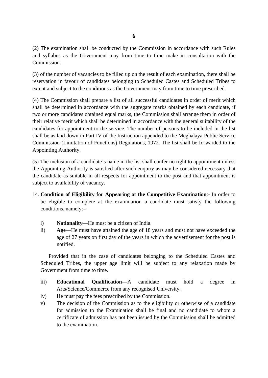(2) The examination shall be conducted by the Commission in accordance with such Rules and syllabus as the Government may from time to time make in consultation with the Commission.

 (3) of the number of vacancies to be filled up on the result of each examination, there shall be extent and subject to the conditions as the Government may from time to time prescribed. reservation in favour of candidates belonging to Scheduled Castes and Scheduled Tribes to

(4) The Commission shall prepare a list of all successful candidates in order of merit which shall be determined in accordance with the aggregate marks obtained by each candidate, if two or more candidates obtained equal marks, the Commission shall arrange them in order of their relative merit which shall be determined in accordance with the general suitability of the candidates for appointment to the service. The number of persons to be included in the list shall be as laid down in Part IV of the Instruction appended to the Meghalaya Public Service Commission (Limitation of Functions) Regulations, 1972. The list shall be forwarded to the Appointing Authority.

(5) The inclusion of a candidate's name in the list shall confer no right to appointment unless the Appointing Authority is satisfied after such enquiry as may be considered necessary that the candidate as suitable in all respects for appointment to the post and that appointment is subject to availability of vacancy.

- 14. **Condition of Eligibility for Appearing at the Competitive Examination**:- In order to be eligible to complete at the examination a candidate must satisfy the following conditions, namely:
	- i) **Nationality**—He must be a citizen of India.
	- ii) **Age**—He must have attained the age of 18 years and must not have exceeded the age of 27 years on first day of the years in which the advertisement for the post is notified.

Provided that in the case of candidates belonging to the Scheduled Castes and Scheduled Tribes, the upper age limit will be subject to any relaxation made by Government from time to time.

- must iii) **Educational Qualification**—A candidate must hold a degree in Arts/Science/Commerce from any recognised University.
- iv) He must pay the fees prescribed by the Commission.
- for admission to the Examination shall be final and no candidate to whom a v) The decision of the Commission as to the eligibility or otherwise of a candidate certificate of admission has not been issued by the Commission shall be admitted to the examination.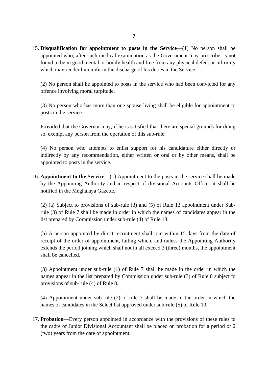15. **Disqualification for appointment to posts in the Service**—(1) No person shall be appointed who, after such medical examination as the Government may prescribe, is not found to be in good mental or bodily health and free from any physical defect or infirmity which may render him unfit in the discharge of his duties in the Service.

(2) No person shall be appointed to posts in the service who had been convicted for any offence involving moral turpitude.

(3) No person who has more than one spouse living shall be eligible for appointment to posts in the service.

 so, exempt any person from the operation of this sub-rule. Provided that the Governor may, if he is satisfied that there are special grounds for doing

(4) No person who attempts to enlist support for his candidature either directly or indirectly by any recommendation, either written or oral or by other means, shall be appointed to posts in the service.

16. **Appointment to the Service—**(1) Appointment to the posts in the service shall be made by the Appointing Authority and in respect of divisional Accounts Officer it shall be notified in the Meghalaya Gazette.

 rule (3) of Rule 7 shall be made in order in which the names of candidates appear in the (2) (a) Subject to provisions of sub-rule (3) and (5) of Rule 13 appointment under Sublist prepared by Commission under sub-rule (4) of Rule 13.

 extends the period joining which shall not in all exceed 3 (three) months, the appointment (b) A person appointed by direct recruitment shall join within 15 days from the date of receipt of the order of appointment, failing which, and unless the Appointing Authority shall be cancelled.

 names appear in the list prepared by Commission under sub-rule (3) of Rule 8 subject to (3) Appointment under sub-rule (1) of Rule 7 shall be made in the order in which the provisions of sub-rule (4) of Rule 8.

(4) Appointment under sub-rule (2) of rule 7 shall be made in the order in which the names of candidates in the Select list approved under sub-rule (5) of Rule 10.

 17. **Probation**—Every person appointed in accordance with the provisions of these rules to the cadre of Junior Divisional Accountant shall be placed on probation for a period of 2 (two) years from the date of appointment.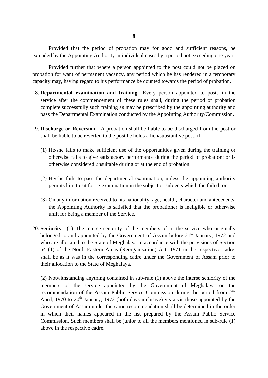Provided that the period of probation may for good and sufficient reasons, be extended by the Appointing Authority in individual cases by a period not exceeding one year.

Provided further that where a person appointed to the post could not be placed on probation for want of permanent vacancy, any period which he has rendered in a temporary capacity may, having regard to his performance be counted towards the period of probation.

- 18. **Departmental examination and training**—Every person appointed to posts in the service after the commencement of these rules shall, during the period of probation complete successfully such training as may be prescribed by the appointing authority and pass the Departmental Examination conducted by the Appointing Authority/Commission.
- 19. **Discharge or Reversion**—A probation shall be liable to be discharged from the post or shall be liable to be reverted to the post he holds a lien/substantive post, if:-
	- (1) He/she fails to make sufficient use of the opportunities given during the training or otherwise fails to give satisfactory performance during the period of probation; or is otherwise considered unsuitable during or at the end of probation.
	- (2) He/she fails to pass the departmental examination, unless the appointing authority permits him to sit for re-examination in the subject or subjects which the failed; or
	- the Appointing Authority is satisfied that the probationer is ineligible or otherwise (3) On any information received to his nationality, age, health, character and antecedents, unfit for being a member of the Service.
- belonged to and appointed by the Government of Assam before 21<sup>st</sup> January, 1972 and 20. **Seniority**—(1) The interse seniority of the members of in the service who originally who are allocated to the State of Meghalaya in accordance with the provisions of Section 64 (1) of the North Eastern Areas (Reorganisation) Act, 1971 in the respective cadre, shall be as it was in the corresponding cadre under the Government of Assam prior to their allocation to the State of Meghalaya.

 Government of Assam under the same recommendation shall be determined in the order in which their names appeared in the list prepared by the Assam Public Service above in the respective cadre. (2) Notwithstanding anything contained in sub-rule (1) above the interse seniority of the members of the service appointed by the Government of Meghalaya on the recommendation of the Assam Public Service Commission during the period from 2<sup>nd</sup> April, 1970 to  $20<sup>th</sup>$  January, 1972 (both days inclusive) vis-a-vis those appointed by the Commission. Such members shall be junior to all the members mentioned in sub-rule (1)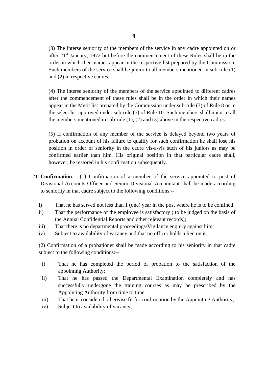after  $21<sup>st</sup>$  January, 1972 but before the commencement of these Rules shall be in the (3) The interse seniority of the members of the service in any cadre appointed on or order in which their names appear in the respective list prepared by the Commission. Such members of the service shall be junior to all members mentioned in sub-rule (1) and (2) in respective cadres.

(4) The interse seniority of the members of the service appointed to different cadres after the commencement of these rules shall be in the order in which their names appear in the Merit list prepared by the Commission under sub-rule (3) of Rule 8 or in the select list approved under sub-rule (5) of Rule 10. Such members shall unior to all the members mentioned in sub-rule  $(1)$ ,  $(2)$  and  $(3)$  above in the respective cadres.

 probation on account of his failure to qualify for such confirmation he shall lose his (5) If confirmation of any member of the service is delayed beyond two years of position in order of seniority in the cadre vis-a-vis such of his juniors as may be confirmed earlier than him. His original position in that particular cadre shall, however, be restored in his confirmation subsequently.

- 21. **Confirmation**:-- (1) Confirmation of a member of the service appointed to post of Divisional Accounts Officer and Senior Divisional Accountant shall be made according to seniority in that cadre subject to the following conditions:
	- i) That he has served not less than 1 (one) year in the post where he is to be confined
	- ii) That the performance of the employee is satisfactory ( to be judged on the basis of the Annual Confidential Reports and other relevant records);
	- iii) That there is no departmental proceedings/Vigilance enquiry against him;
	- iv) Subject to availability of vacancy and that no officer holds a lien on it.

 (2) Confirmation of a probationer shall be made according to his seniority in that cadre subject to the following conditions:-

- i) That he has completed the period of probation to the satisfaction of the appointing Authority;
- ii) That he has passed the Departmental Examination completely and has successfully undergone the training courses as may be prescribed by the Appointing Authority from time to time.
- iii) That he is considered otherwise fit for confirmation by the Appointing Authority;
- iv) Subject to availability of vacancy;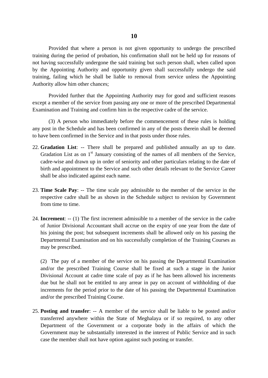training, failing which he shall be liable to removal from service unless the Appointing Provided that where a person is not given opportunity to undergo the prescribed training during the period of probation, his confirmation shall not be held up for reasons of not having successfully undergone the said training but such person shall, when called upon by the Appointing Authority and opportunity given shall successfully undergo the said Authority allow him other chances;

 Provided further that the Appointing Authority may for good and sufficient reasons except a member of the service from passing any one or more of the prescribed Departmental Examination and Training and confirm him in the respective cadre of the service.

 to have been confirmed in the Service and in that posts under those rules. (3) A person who immediately before the commencement of these rules is holding any post in the Schedule and has been confirmed in any of the posts therein shall be deemed

- Gradation List as on  $1<sup>st</sup>$  January consisting of the names of all members of the Service, shall be also indicated against each name. 22. **Gradation List**: -- There shall be prepared and published annually an up to date. cadre-wise and drawn up in order of seniority and other particulars relating to the date of birth and appointment to the Service and such other details relevant to the Service Career
- 23. **Time Scale Pay**: -- The time scale pay admissible to the member of the service in the respective cadre shall be as shown in the Schedule subject to revision by Government from time to time.
- 24. **Increment**: -- (1) The first increment admissible to a member of the service in the cadre of Junior Divisional Accountant shall accrue on the expiry of one year from the date of his joining the post; but subsequent increments shall be allowed only on his passing the Departmental Examination and on his successfully completion of the Training Courses as may be prescribed.

(2) The pay of a member of the service on his passing the Departmental Examination and/or the prescribed Training Course shall be fixed at such a stage in the Junior Divisional Account at cadre time scale of pay as if he has been allowed his increments due but he shall not be entitled to any arrear in pay on account of withholding of due increments for the period prior to the date of his passing the Departmental Examination and/or the prescribed Training Course.

25. **Posting and transfer**: -- A member of the service shall be liable to be posted and/or transferred anywhere within the State of Meghalaya or if so required, to any other Department of the Government or a corporate body in the affairs of which the Government may be substantially interested in the interest of Public Service and in such case the member shall not have option against such posting or transfer.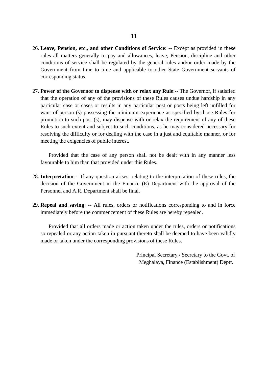- 26. **Leave, Pension, etc., and other Conditions of Service**: -- Except as provided in these rules all matters generally to pay and allowances, leave, Pension, discipline and other conditions of service shall be regulated by the general rules and/or order made by the Government from time to time and applicable to other State Government servants of corresponding status.
- particular case or cases or results in any particular post or posts being left unfilled for promotion to such post (s), may dispense with or relax the requirement of any of these Rules to such extent and subject to such conditions, as he may considered necessary for 27. **Power of the Governor to dispense with or relax any Rule**:-- The Governor, if satisfied that the operation of any of the provisions of these Rules causes undue hardship in any want of person (s) possessing the minimum experience as specified by those Rules for resolving the difficulty or for dealing with the case in a just and equitable manner, or for meeting the exigencies of public interest.

 favourable to him than that provided under this Rules. Provided that the case of any person shall not be dealt with in any manner less

- 28. **Interpretation**:-- If any question arises, relating to the interpretation of these rules, the decision of the Government in the Finance (E) Department with the approval of the Personnel and A.R. Department shall be final.
- 29. **Repeal and saving**: -- All rules, orders or notifications corresponding to and in force immediately before the commencement of these Rules are hereby repealed.

Provided that all orders made or action taken under the rules, orders or notifications so repealed or any action taken in pursuant thereto shall be deemed to have been validly made or taken under the corresponding provisions of these Rules.

> Principal Secretary / Secretary to the Govt. of Meghalaya, Finance (Establishment) Deptt.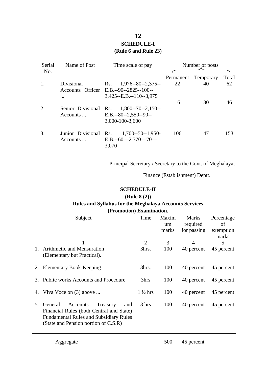## **12 SCHEDULE-I (Rule 6 and Rule 23)**

| Serial<br>No. | Name of Post          | Time scale of pay                      | Number of posts |           |       |
|---------------|-----------------------|----------------------------------------|-----------------|-----------|-------|
|               |                       |                                        | Permanent       | Temporary | Total |
| 1.            | Divisional            | $1,976 - 80 - 2,375 -$<br>Rs.          | 22              | 40        | 62    |
|               |                       | Accounts Officer E.B.--90--2825--100-- |                 |           |       |
|               | .                     | $3,425 - E.B. - 110 - 3,975$           |                 |           |       |
|               |                       |                                        | 16              | 30        | 46    |
| 2.            | Senior Divisional Rs. | $1,800 - 70 - 2,150 -$                 |                 |           |       |
|               | $Accounts$            | $E.B. -80 - 2,550 - 90 -$              |                 |           |       |
|               |                       | 3,000-100-3,600                        |                 |           |       |
| 3.            | Junior Divisional Rs. | $1,700 - 50 - 1,950 -$                 | 106             | 47        | 153   |
|               | Accounts              | $E.B. -60 - 2,370 - 70 -$              |                 |           |       |
|               |                       | 3,070                                  |                 |           |       |

Principal Secretary / Secretary to the Govt. of Meghalaya,

Finance (Establishment) Deptt.

### **SCHEDULE-II (Rule 8 (2)) Rules and Syllabus for the Meghalaya Accounts Services (Promotion) Examination.**

| Subject                                                                                                                                                                        | Time               | Maxim<br>um<br>marks | <b>Marks</b><br>required<br>for passing | Percentage<br>οf<br>exemption<br>marks |
|--------------------------------------------------------------------------------------------------------------------------------------------------------------------------------|--------------------|----------------------|-----------------------------------------|----------------------------------------|
| 1. Arithmetic and Mensuration<br>(Elementary but Practical).                                                                                                                   | 2<br>3hrs.         | 3<br>100             | 4<br>40 percent                         | 5<br>45 percent                        |
| 2. Elementary Book-Keeping                                                                                                                                                     | 3hrs.              | 100                  | 40 percent                              | 45 percent                             |
| 3. Public works Accounts and Procedure                                                                                                                                         | 3hrs               | 100                  | 40 percent                              | 45 percent                             |
| 4. Viva Voce on (3) above                                                                                                                                                      | $1\frac{1}{2}$ hrs | 100                  | 40 percent                              | 45 percent                             |
| Accounts<br>5. General<br>Treasury<br>and<br>Financial Rules (both Central and State)<br><b>Fundamental Rules and Subsidiary Rules</b><br>(State and Pension portion of C.S.R) | 3 hrs              | 100                  | 40 percent                              | 45 percent                             |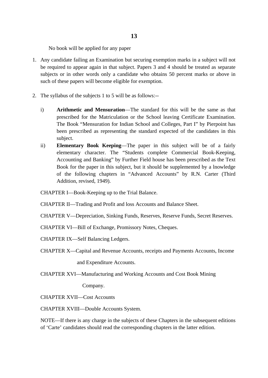No book will be applied for any paper

- 1. Any candidate failing an Examination but securing exemption marks in a subject will not be required to appear again in that subject. Papers 3 and 4 should be treated as separate subjects or in other words only a candidate who obtains 50 percent marks or above in such of these papers will become eligible for exemption.
- 2. The syllabus of the subjects 1 to 5 will be as follows:--
	- prescribed for the Matriculation or the School leaving Certificate Examination. i) **Arithmetic and Mensuration—The standard for this will be the same as that** The Book "Mensuration for Indian School and Colleges, Part I" by Pierpoint has been prescribed as representing the standard expected of the candidates in this subject.
	- ii) **Elementary Book Keeping**—The paper in this subject will be of a fairly elementary character. The "Students complete Commercial Book-Keeping, Accounting and Banking" by Further Field house has been prescribed as the Text Book for the paper in this subject, but it should be supplemented by a lnowledge of the following chapters in "Advanced Accounts" by R.N. Carter (Third Addition, revised, 1949).
	- CHAPTER I—Book-Keeping up to the Trial Balance.
	- CHAPTER II—Trading and Profit and loss Accounts and Balance Sheet.
	- CHAPTER V—Depreciation, Sinking Funds, Reserves, Reserve Funds, Secret Reserves.
	- CHAPTER VI—Bill of Exchange, Promissory Notes, Cheques.
	- CHAPTER IX—Self Balancing Ledgers.
	- CHAPTER X—Capital and Revenue Accounts, receipts and Payments Accounts, Income

and Expenditure Accounts.

CHAPTER XVI—Manufacturing and Working Accounts and Cost Book Mining

Company.

CHAPTER XVII—Cost Accounts

CHAPTER XVIII—Double Accounts System.

NOTE—If there is any charge in the subjects of these Chapters in the subsequent editions of 'Carte' candidates should read the corresponding chapters in the latter edition.